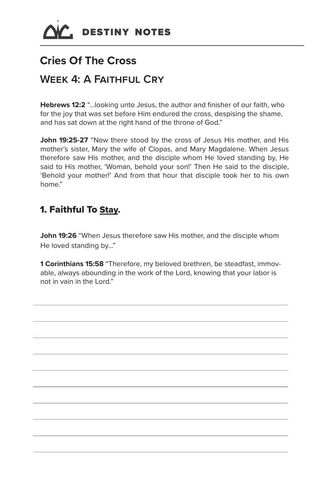

# **Cries Of The Cross**

## **Week 4: A Faithful Cry**

**Hebrews 12:2** "…looking unto Jesus, the author and finisher of our faith, who for the joy that was set before Him endured the cross, despising the shame, and has sat down at the right hand of the throne of God."

**John 19:25-27** "Now there stood by the cross of Jesus His mother, and His mother's sister, Mary the wife of Clopas, and Mary Magdalene. When Jesus therefore saw His mother, and the disciple whom He loved standing by, He said to His mother, 'Woman, behold your son!' Then He said to the disciple, 'Behold your mother!' And from that hour that disciple took her to his own home."

#### 1. Faithful To Stay.

**John 19:26** "When Jesus therefore saw His mother, and the disciple whom He loved standing by…"

**1 Corinthians 15:58** "Therefore, my beloved brethren, be steadfast, immovable, always abounding in the work of the Lord, knowing that your labor is not in vain in the Lord."